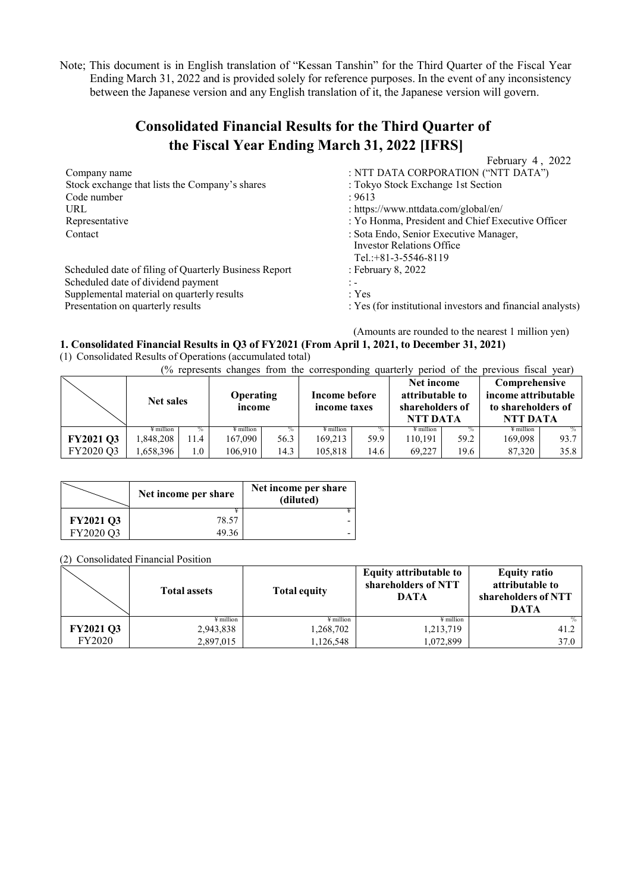Note; This document is in English translation of "Kessan Tanshin" for the Third Quarter of the Fiscal Year Ending March 31, 2022 and is provided solely for reference purposes. In the event of any inconsistency between the Japanese version and any English translation of it, the Japanese version will govern.

# **Consolidated Financial Results for the Third Quarter of the Fiscal Year Ending March 31, 2022 [IFRS]**

|                                                       | February 4, 2022                                                                                    |
|-------------------------------------------------------|-----------------------------------------------------------------------------------------------------|
| Company name                                          | : NTT DATA CORPORATION ("NTT DATA")                                                                 |
| Stock exchange that lists the Company's shares        | : Tokyo Stock Exchange 1st Section                                                                  |
| Code number                                           | : 9613                                                                                              |
| URL                                                   | : https://www.nttdata.com/global/en/                                                                |
| Representative                                        | : Yo Honma, President and Chief Executive Officer                                                   |
| Contact                                               | : Sota Endo, Senior Executive Manager,<br><b>Investor Relations Office</b><br>Tel.: +81-3-5546-8119 |
| Scheduled date of filing of Quarterly Business Report | : February 8, 2022                                                                                  |
| Scheduled date of dividend payment                    | $\mathbb{I}$ –                                                                                      |
| Supplemental material on quarterly results            | : Yes                                                                                               |
| Presentation on quarterly results                     | : Yes (for institutional investors and financial analysts)                                          |
|                                                       |                                                                                                     |

### (Amounts are rounded to the nearest 1 million yen) **1. Consolidated Financial Results in Q3 of FY2021 (From April 1, 2021, to December 31, 2021)**

(1) Consolidated Results of Operations (accumulated total)

(% represents changes from the corresponding quarterly period of the previous fiscal year)

|                  | <b>Net sales</b> |         | <b>Operating</b><br>income |      | Income before<br>income taxes |      | Net income<br>attributable to<br>shareholders of<br>NTT DATA |      | Comprehensive<br>income attributable<br>to shareholders of<br>NTT DATA |      |
|------------------|------------------|---------|----------------------------|------|-------------------------------|------|--------------------------------------------------------------|------|------------------------------------------------------------------------|------|
|                  | million          | $\%$    | ¥ million                  |      | ¥ million                     |      | ¥ million                                                    |      | $\frac{1}{2}$ million                                                  |      |
| <b>FY2021 Q3</b> | .848.208         | 1.4     | 167,090                    | 56.3 | 169.213                       | 59.9 | 10.191                                                       | 59.2 | 169.098                                                                | 93.7 |
| FY2020 O3        | .658,396         | $1.0\,$ | 106.910                    | 14.3 | 105.818                       | 14.6 | 69.227                                                       | 19.6 | 87,320                                                                 | 35.8 |

|                  | Net income per share | Net income per share<br>(diluted) |
|------------------|----------------------|-----------------------------------|
|                  |                      |                                   |
| <b>FY2021 Q3</b> | 78.57                |                                   |
| FY2020 O3        | 49 36                |                                   |

(2) Consolidated Financial Position

|                  | <b>Total assets</b> | <b>Total equity</b> | <b>Equity attributable to</b><br>shareholders of NTT<br><b>DATA</b> | <b>Equity ratio</b><br>attributable to<br>shareholders of NTT<br><b>DATA</b> |
|------------------|---------------------|---------------------|---------------------------------------------------------------------|------------------------------------------------------------------------------|
|                  | ¥ million           | ¥ million           | $\frac{1}{2}$ million                                               |                                                                              |
| <b>FY2021 Q3</b> | 2,943,838           | 1,268,702           | 1,213,719                                                           | 41.2                                                                         |
| <b>FY2020</b>    | 2,897,015           | 1,126,548           | ,072,899                                                            | 37.0                                                                         |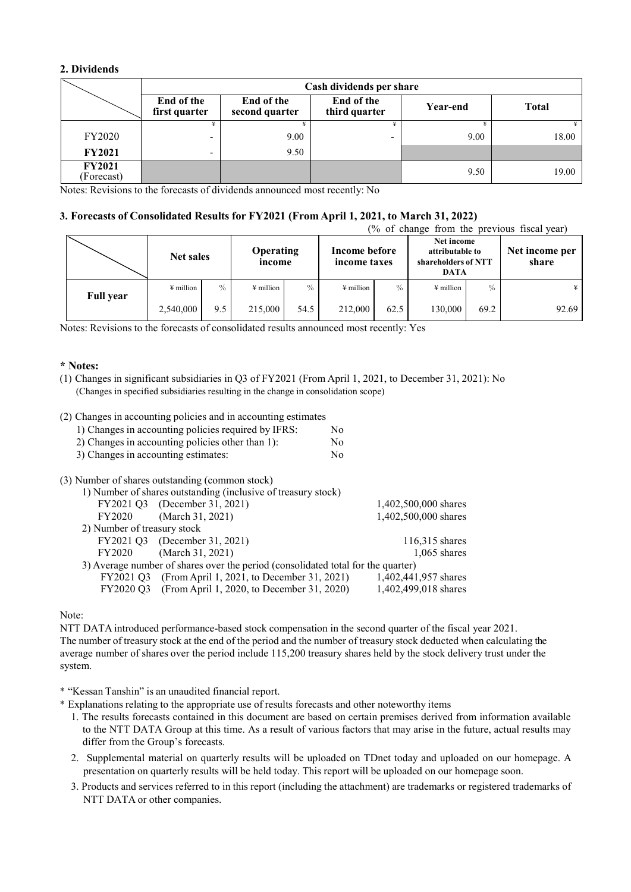# **2. Dividends**

|                             | Cash dividends per share    |                              |                             |          |              |  |  |
|-----------------------------|-----------------------------|------------------------------|-----------------------------|----------|--------------|--|--|
|                             | End of the<br>first quarter | End of the<br>second quarter | End of the<br>third quarter | Year-end | <b>Total</b> |  |  |
|                             |                             |                              |                             |          |              |  |  |
| <b>FY2020</b>               |                             | 9.00                         |                             | 9.00     | 18.00        |  |  |
| <b>FY2021</b>               | $\overline{\phantom{0}}$    | 9.50                         |                             |          |              |  |  |
| <b>FY2021</b><br>(Forecast) |                             |                              |                             | 9.50     | 19.00        |  |  |

Notes: Revisions to the forecasts of dividends announced most recently: No

# **3. Forecasts of Consolidated Results for FY2021 (From April 1, 2021, to March 31, 2022)**

| (% of change from the previous fiscal year) |                       |      |                            |      |                               |               |                                                                     |      |                         |
|---------------------------------------------|-----------------------|------|----------------------------|------|-------------------------------|---------------|---------------------------------------------------------------------|------|-------------------------|
|                                             | <b>Net sales</b>      |      | <b>Operating</b><br>income |      | Income before<br>income taxes |               | Net income<br>attributable to<br>shareholders of NTT<br><b>DATA</b> |      | Net income per<br>share |
| <b>Full year</b>                            | $\frac{1}{2}$ million | $\%$ | $\frac{1}{2}$ million      | $\%$ | ¥ million                     | $\frac{0}{0}$ | $\frac{1}{2}$ million                                               | $\%$ |                         |
|                                             | 2,540,000             | 9.5  | 215,000                    | 54.5 | 212,000                       | 62.5          | 130,000                                                             | 69.2 | 92.69                   |

Notes: Revisions to the forecasts of consolidated results announced most recently: Yes

#### **\* Notes:**

(1) Changes in significant subsidiaries in Q3 of FY2021 (From April 1, 2021, to December 31, 2021): No (Changes in specified subsidiaries resulting in the change in consolidation scope)

### (2) Changes in accounting policies and in accounting estimates

| 1) Changes in accounting policies required by IFRS: | No. |
|-----------------------------------------------------|-----|
| 2) Changes in accounting policies other than 1):    | No. |
| 3) Changes in accounting estimates:                 | No. |

#### (3) Number of shares outstanding (common stock)

|                                                               | $\ldots$                                                                         |                      |  |  |  |  |
|---------------------------------------------------------------|----------------------------------------------------------------------------------|----------------------|--|--|--|--|
| 1) Number of shares outstanding (inclusive of treasury stock) |                                                                                  |                      |  |  |  |  |
|                                                               | FY2021 Q3 (December 31, 2021)                                                    | 1,402,500,000 shares |  |  |  |  |
|                                                               | FY2020 (March 31, 2021)                                                          | 1,402,500,000 shares |  |  |  |  |
| 2) Number of treasury stock                                   |                                                                                  |                      |  |  |  |  |
|                                                               | FY2021 Q3 (December 31, 2021)                                                    | 116,315 shares       |  |  |  |  |
| FY2020                                                        | (March 31, 2021)                                                                 | $1,065$ shares       |  |  |  |  |
|                                                               | 3) Average number of shares over the period (consolidated total for the quarter) |                      |  |  |  |  |
|                                                               | FY2021 Q3 (From April 1, 2021, to December 31, 2021)                             | 1,402,441,957 shares |  |  |  |  |
|                                                               | FY2020 Q3 (From April 1, 2020, to December 31, 2020)                             | 1,402,499,018 shares |  |  |  |  |
|                                                               |                                                                                  |                      |  |  |  |  |

#### Note:

NTT DATA introduced performance-based stock compensation in the second quarter of the fiscal year 2021. The number of treasury stock at the end of the period and the number of treasury stock deducted when calculating the average number of shares over the period include 115,200 treasury shares held by the stock delivery trust under the system.

\* "Kessan Tanshin" is an unaudited financial report.

- \* Explanations relating to the appropriate use of results forecasts and other noteworthy items
	- 1. The results forecasts contained in this document are based on certain premises derived from information available to the NTT DATA Group at this time. As a result of various factors that may arise in the future, actual results may differ from the Group's forecasts.
	- 2. Supplemental material on quarterly results will be uploaded on TDnet today and uploaded on our homepage. A presentation on quarterly results will be held today. This report will be uploaded on our homepage soon.
	- 3. Products and services referred to in this report (including the attachment) are trademarks or registered trademarks of NTT DATA or other companies.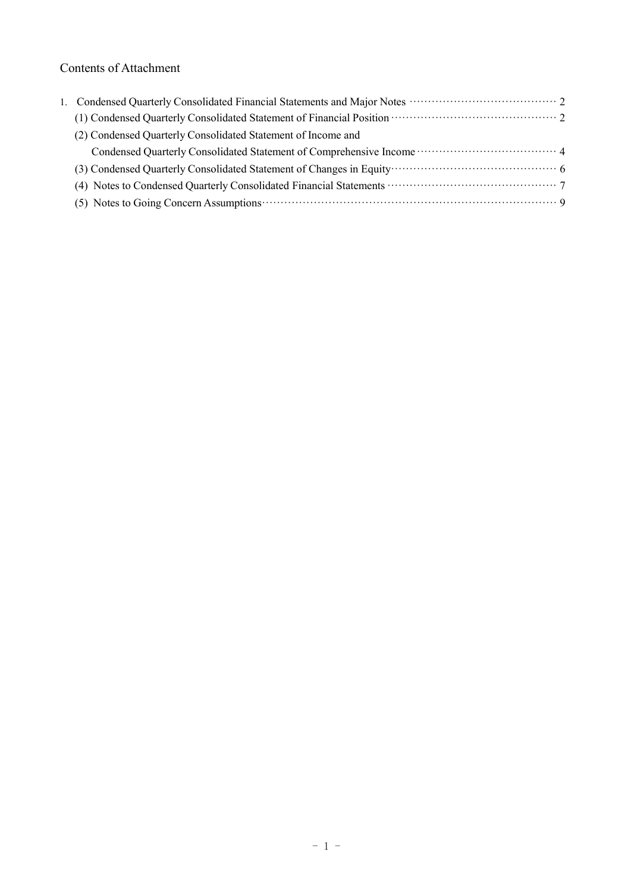# Contents of Attachment

| (1) Condensed Quarterly Consolidated Statement of Financial Position (2001) (2012) |  |
|------------------------------------------------------------------------------------|--|
| (2) Condensed Quarterly Consolidated Statement of Income and                       |  |
|                                                                                    |  |
|                                                                                    |  |
|                                                                                    |  |
|                                                                                    |  |
|                                                                                    |  |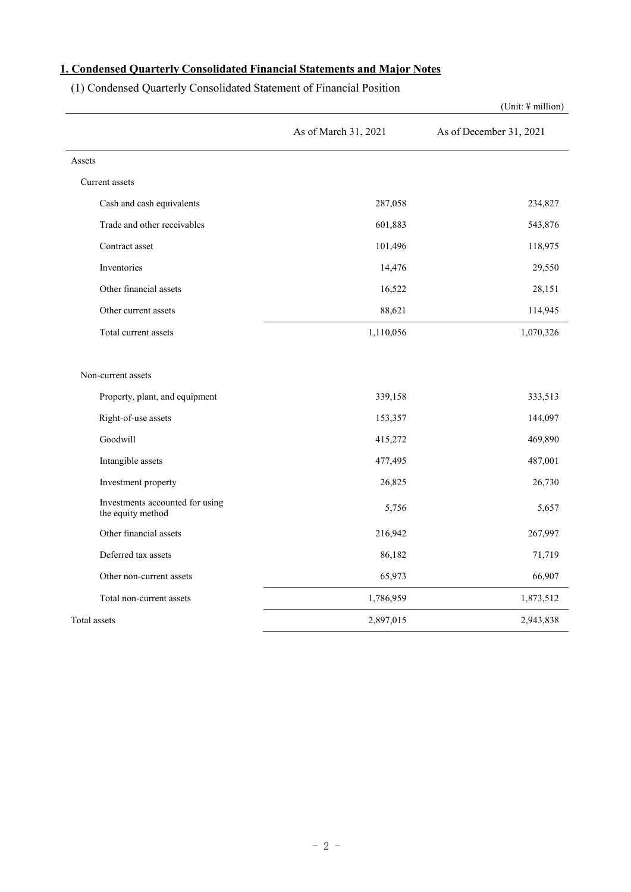# <span id="page-3-0"></span>**1. Condensed Quarterly Consolidated Financial Statements and Major Notes**

(1) Condensed Quarterly Consolidated Statement of Financial Position

|                                                      |                      | (Unit: ¥ million)       |
|------------------------------------------------------|----------------------|-------------------------|
|                                                      | As of March 31, 2021 | As of December 31, 2021 |
| Assets                                               |                      |                         |
| Current assets                                       |                      |                         |
| Cash and cash equivalents                            | 287,058              | 234,827                 |
| Trade and other receivables                          | 601,883              | 543,876                 |
| Contract asset                                       | 101,496              | 118,975                 |
| Inventories                                          | 14,476               | 29,550                  |
| Other financial assets                               | 16,522               | 28,151                  |
| Other current assets                                 | 88,621               | 114,945                 |
| Total current assets                                 | 1,110,056            | 1,070,326               |
| Non-current assets                                   |                      |                         |
| Property, plant, and equipment                       | 339,158              | 333,513                 |
| Right-of-use assets                                  | 153,357              | 144,097                 |
| Goodwill                                             | 415,272              | 469,890                 |
| Intangible assets                                    | 477,495              | 487,001                 |
| Investment property                                  | 26,825               | 26,730                  |
| Investments accounted for using<br>the equity method | 5,756                | 5,657                   |
| Other financial assets                               | 216,942              | 267,997                 |
| Deferred tax assets                                  | 86,182               | 71,719                  |
| Other non-current assets                             | 65,973               | 66,907                  |
| Total non-current assets                             | 1,786,959            | 1,873,512               |
| Total assets                                         | 2,897,015            | 2,943,838               |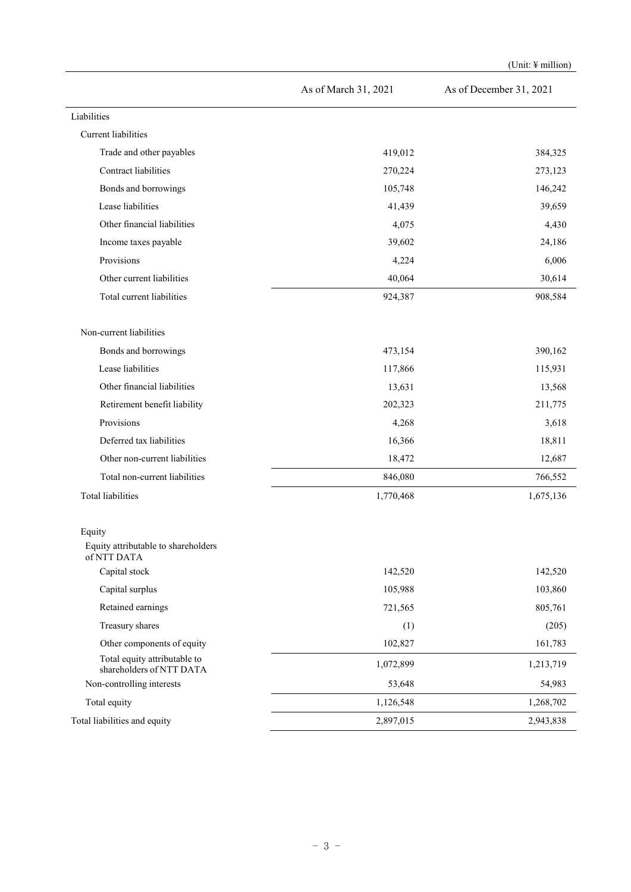|                                                          |                      | (Unit: 4 million)       |
|----------------------------------------------------------|----------------------|-------------------------|
|                                                          | As of March 31, 2021 | As of December 31, 2021 |
| Liabilities                                              |                      |                         |
| Current liabilities                                      |                      |                         |
| Trade and other payables                                 | 419,012              | 384,325                 |
| Contract liabilities                                     | 270,224              | 273,123                 |
| Bonds and borrowings                                     | 105,748              | 146,242                 |
| Lease liabilities                                        | 41,439               | 39,659                  |
| Other financial liabilities                              | 4,075                | 4,430                   |
| Income taxes payable                                     | 39,602               | 24,186                  |
| Provisions                                               | 4,224                | 6,006                   |
| Other current liabilities                                | 40,064               | 30,614                  |
| Total current liabilities                                | 924,387              | 908,584                 |
| Non-current liabilities                                  |                      |                         |
| Bonds and borrowings                                     | 473,154              | 390,162                 |
| Lease liabilities                                        | 117,866              | 115,931                 |
| Other financial liabilities                              | 13,631               | 13,568                  |
| Retirement benefit liability                             | 202,323              | 211,775                 |
| Provisions                                               | 4,268                | 3,618                   |
| Deferred tax liabilities                                 | 16,366               | 18,811                  |
| Other non-current liabilities                            | 18,472               | 12,687                  |
| Total non-current liabilities                            | 846,080              | 766,552                 |
| Total liabilities                                        | 1,770,468            | 1,675,136               |
| Equity<br>Equity attributable to shareholders            |                      |                         |
| of NTT DATA<br>Capital stock                             | 142,520              | 142,520                 |
| Capital surplus                                          | 105,988              | 103,860                 |
| Retained earnings                                        | 721,565              | 805,761                 |
| Treasury shares                                          | (1)                  | (205)                   |
| Other components of equity                               | 102,827              | 161,783                 |
| Total equity attributable to<br>shareholders of NTT DATA | 1,072,899            | 1,213,719               |
| Non-controlling interests                                | 53,648               | 54,983                  |
| Total equity                                             | 1,126,548            | 1,268,702               |
| Total liabilities and equity                             | 2,897,015            | 2,943,838               |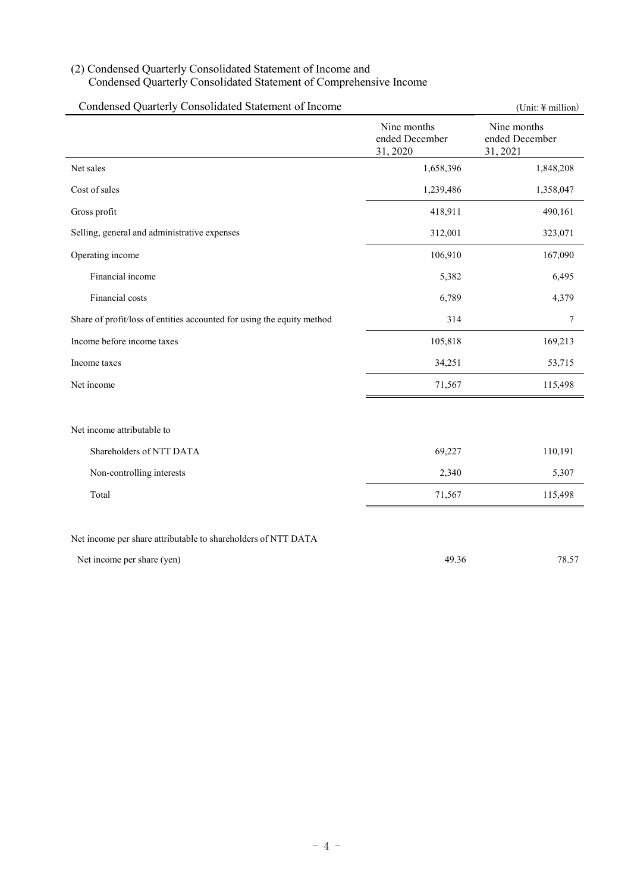# (2) Condensed Quarterly Consolidated Statement of Income and Condensed Quarterly Consolidated Statement of Comprehensive Income

| Condensed Quarterly Consolidated Statement of Income                   |                                           | (Unit: $\frac{1}{2}$ million)             |
|------------------------------------------------------------------------|-------------------------------------------|-------------------------------------------|
|                                                                        | Nine months<br>ended December<br>31, 2020 | Nine months<br>ended December<br>31, 2021 |
| Net sales                                                              | 1,658,396                                 | 1,848,208                                 |
| Cost of sales                                                          | 1,239,486                                 | 1,358,047                                 |
| Gross profit                                                           | 418,911                                   | 490,161                                   |
| Selling, general and administrative expenses                           | 312,001                                   | 323,071                                   |
| Operating income                                                       | 106,910                                   | 167,090                                   |
| Financial income                                                       | 5,382                                     | 6,495                                     |
| Financial costs                                                        | 6,789                                     | 4,379                                     |
| Share of profit/loss of entities accounted for using the equity method | 314                                       | $\tau$                                    |
| Income before income taxes                                             | 105,818                                   | 169,213                                   |
| Income taxes                                                           | 34,251                                    | 53,715                                    |
| Net income                                                             | 71,567                                    | 115,498                                   |
| Net income attributable to                                             |                                           |                                           |
| Shareholders of NTT DATA                                               | 69,227                                    | 110,191                                   |
| Non-controlling interests                                              | 2,340                                     | 5,307                                     |
| Total                                                                  | 71,567                                    | 115,498                                   |
| Net income per share attributable to shareholders of NTT DATA          |                                           |                                           |
| Net income per share (yen)                                             | 49.36                                     | 78.57                                     |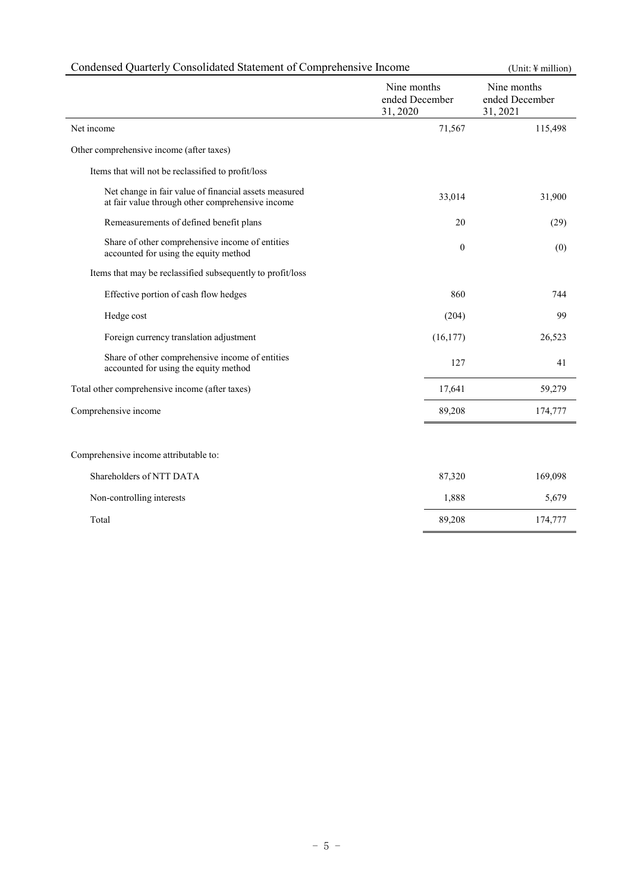| Condensed Quarterly Consolidated Statement of Comprehensive Income                                        | (Unit: ¥ million)                        |                                           |
|-----------------------------------------------------------------------------------------------------------|------------------------------------------|-------------------------------------------|
|                                                                                                           | Nine months<br>ended December<br>31,2020 | Nine months<br>ended December<br>31, 2021 |
| Net income                                                                                                | 71,567                                   | 115,498                                   |
| Other comprehensive income (after taxes)                                                                  |                                          |                                           |
| Items that will not be reclassified to profit/loss                                                        |                                          |                                           |
| Net change in fair value of financial assets measured<br>at fair value through other comprehensive income | 33,014                                   | 31,900                                    |
| Remeasurements of defined benefit plans                                                                   | 20                                       | (29)                                      |
| Share of other comprehensive income of entities<br>accounted for using the equity method                  | $\mathbf{0}$                             | (0)                                       |
| Items that may be reclassified subsequently to profit/loss                                                |                                          |                                           |
| Effective portion of cash flow hedges                                                                     | 860                                      | 744                                       |
| Hedge cost                                                                                                | (204)                                    | 99                                        |
| Foreign currency translation adjustment                                                                   | (16, 177)                                | 26,523                                    |
| Share of other comprehensive income of entities<br>accounted for using the equity method                  | 127                                      | 41                                        |
| Total other comprehensive income (after taxes)                                                            | 17,641                                   | 59,279                                    |
| Comprehensive income                                                                                      | 89,208                                   | 174,777                                   |
|                                                                                                           |                                          |                                           |
| Comprehensive income attributable to:                                                                     |                                          |                                           |
| Shareholders of NTT DATA                                                                                  | 87,320                                   | 169,098                                   |
| Non-controlling interests                                                                                 | 1,888                                    | 5,679                                     |
| Total                                                                                                     | 89,208                                   | 174,777                                   |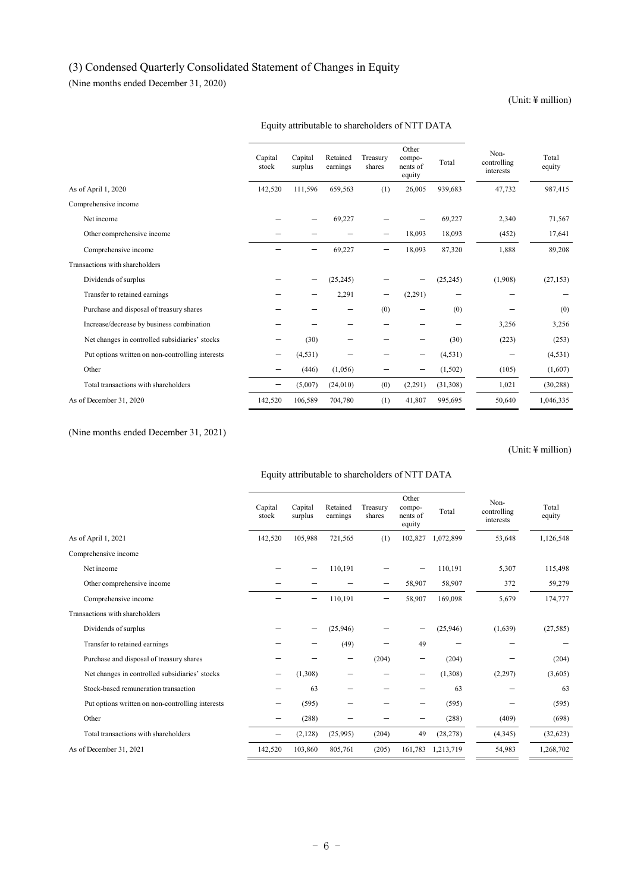# (3) Condensed Quarterly Consolidated Statement of Changes in Equity

(Nine months ended December 31, 2020)

## (Unit: ¥ million)

|                                                  | Capital<br>stock | Capital<br>surplus | Retained<br>earnings | Treasury<br>shares | Other<br>compo-<br>nents of<br>equity | Total     | Non-<br>controlling<br>interests | Total<br>equity |
|--------------------------------------------------|------------------|--------------------|----------------------|--------------------|---------------------------------------|-----------|----------------------------------|-----------------|
| As of April 1, 2020                              | 142,520          | 111.596            | 659.563              | (1)                | 26,005                                | 939.683   | 47,732                           | 987,415         |
| Comprehensive income                             |                  |                    |                      |                    |                                       |           |                                  |                 |
| Net income                                       |                  |                    | 69,227               |                    |                                       | 69,227    | 2,340                            | 71,567          |
| Other comprehensive income                       |                  |                    |                      |                    | 18,093                                | 18,093    | (452)                            | 17,641          |
| Comprehensive income                             |                  |                    | 69,227               |                    | 18,093                                | 87,320    | 1,888                            | 89,208          |
| Transactions with shareholders                   |                  |                    |                      |                    |                                       |           |                                  |                 |
| Dividends of surplus                             |                  |                    | (25, 245)            |                    |                                       | (25, 245) | (1,908)                          | (27, 153)       |
| Transfer to retained earnings                    |                  |                    | 2,291                | —                  | (2,291)                               |           |                                  |                 |
| Purchase and disposal of treasury shares         |                  |                    |                      | (0)                |                                       | (0)       |                                  | (0)             |
| Increase/decrease by business combination        |                  |                    |                      |                    |                                       |           | 3,256                            | 3,256           |
| Net changes in controlled subsidiaries' stocks   |                  | (30)               |                      |                    |                                       | (30)      | (223)                            | (253)           |
| Put options written on non-controlling interests |                  | (4, 531)           |                      |                    |                                       | (4,531)   | -                                | (4, 531)        |
| Other                                            |                  | (446)              | (1,056)              |                    |                                       | (1,502)   | (105)                            | (1,607)         |
| Total transactions with shareholders             | —                | (5,007)            | (24,010)             | (0)                | (2,291)                               | (31,308)  | 1,021                            | (30, 288)       |
| As of December 31, 2020                          | 142,520          | 106,589            | 704,780              | (1)                | 41,807                                | 995,695   | 50,640                           | 1,046,335       |

## Equity attributable to shareholders of NTT DATA

(Nine months ended December 31, 2021)

(Unit: ¥ million)

### Equity attributable to shareholders of NTT DATA

|                                                  | Capital<br>stock | Capital<br>surplus | Retained<br>earnings | Treasury<br>shares | Other<br>compo-<br>nents of<br>equity | Total     | Non-<br>controlling<br>interests | Total<br>equity |
|--------------------------------------------------|------------------|--------------------|----------------------|--------------------|---------------------------------------|-----------|----------------------------------|-----------------|
| As of April 1, 2021                              | 142,520          | 105,988            | 721,565              | (1)                | 102,827                               | 1,072,899 | 53,648                           | 1,126,548       |
| Comprehensive income                             |                  |                    |                      |                    |                                       |           |                                  |                 |
| Net income                                       |                  |                    | 110,191              |                    |                                       | 110,191   | 5,307                            | 115,498         |
| Other comprehensive income                       |                  |                    |                      |                    | 58,907                                | 58,907    | 372                              | 59,279          |
| Comprehensive income                             |                  |                    | 110,191              |                    | 58,907                                | 169,098   | 5,679                            | 174,777         |
| Transactions with shareholders                   |                  |                    |                      |                    |                                       |           |                                  |                 |
| Dividends of surplus                             |                  |                    | (25,946)             |                    |                                       | (25,946)  | (1,639)                          | (27, 585)       |
| Transfer to retained earnings                    |                  |                    | (49)                 |                    | 49                                    |           |                                  |                 |
| Purchase and disposal of treasury shares         |                  |                    | —                    | (204)              |                                       | (204)     |                                  | (204)           |
| Net changes in controlled subsidiaries' stocks   |                  | (1,308)            |                      |                    |                                       | (1,308)   | (2,297)                          | (3,605)         |
| Stock-based remuneration transaction             |                  | 63                 |                      |                    |                                       | 63        |                                  | 63              |
| Put options written on non-controlling interests |                  | (595)              |                      |                    |                                       | (595)     |                                  | (595)           |
| Other                                            |                  | (288)              |                      |                    |                                       | (288)     | (409)                            | (698)           |
| Total transactions with shareholders             |                  | (2,128)            | (25,995)             | (204)              | 49                                    | (28, 278) | (4,345)                          | (32, 623)       |
| As of December 31, 2021                          | 142,520          | 103,860            | 805,761              | (205)              | 161,783                               | 1,213,719 | 54,983                           | 1,268,702       |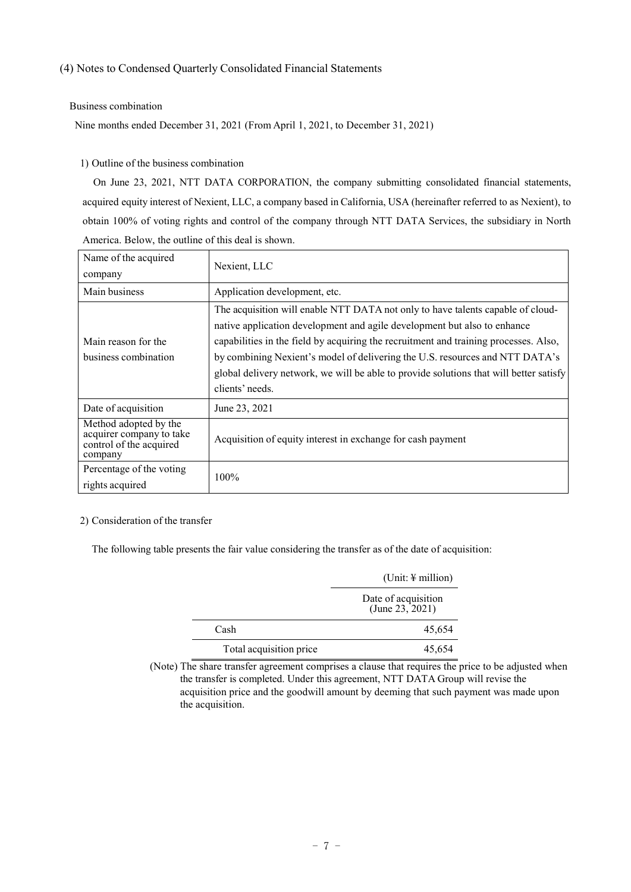# <span id="page-8-0"></span>(4) Notes to Condensed Quarterly Consolidated Financial Statements

### Business combination

Nine months ended December 31, 2021 (From April 1, 2021, to December 31, 2021)

# 1) Outline of the business combination

On June 23, 2021, NTT DATA CORPORATION, the company submitting consolidated financial statements, acquired equity interest of Nexient, LLC, a company based in California, USA (hereinafter referred to as Nexient), to obtain 100% of voting rights and control of the company through NTT DATA Services, the subsidiary in North America. Below, the outline of this deal is shown.

| Name of the acquired<br>company                                                         | Nexient, LLC                                                                                                                                                                                                                                                                                                                                                                                                                                     |
|-----------------------------------------------------------------------------------------|--------------------------------------------------------------------------------------------------------------------------------------------------------------------------------------------------------------------------------------------------------------------------------------------------------------------------------------------------------------------------------------------------------------------------------------------------|
| Main business                                                                           | Application development, etc.                                                                                                                                                                                                                                                                                                                                                                                                                    |
| Main reason for the<br>business combination                                             | The acquisition will enable NTT DATA not only to have talents capable of cloud-<br>native application development and agile development but also to enhance<br>capabilities in the field by acquiring the recruitment and training processes. Also,<br>by combining Nexient's model of delivering the U.S. resources and NTT DATA's<br>global delivery network, we will be able to provide solutions that will better satisfy<br>clients' needs. |
| Date of acquisition                                                                     | June 23, 2021                                                                                                                                                                                                                                                                                                                                                                                                                                    |
| Method adopted by the<br>acquirer company to take<br>control of the acquired<br>company | Acquisition of equity interest in exchange for cash payment                                                                                                                                                                                                                                                                                                                                                                                      |
| Percentage of the voting<br>rights acquired                                             | $100\%$                                                                                                                                                                                                                                                                                                                                                                                                                                          |

# 2) Consideration of the transfer

The following table presents the fair value considering the transfer as of the date of acquisition:

|                         | $(Unit: \n  \n  million)$                 |
|-------------------------|-------------------------------------------|
|                         | Date of acquisition<br>(June $23, 2021$ ) |
| Cash                    | 45,654                                    |
| Total acquisition price | 45,654                                    |

(Note) The share transfer agreement comprises a clause that requires the price to be adjusted when the transfer is completed. Under this agreement, NTT DATA Group will revise the acquisition price and the goodwill amount by deeming that such payment was made upon the acquisition.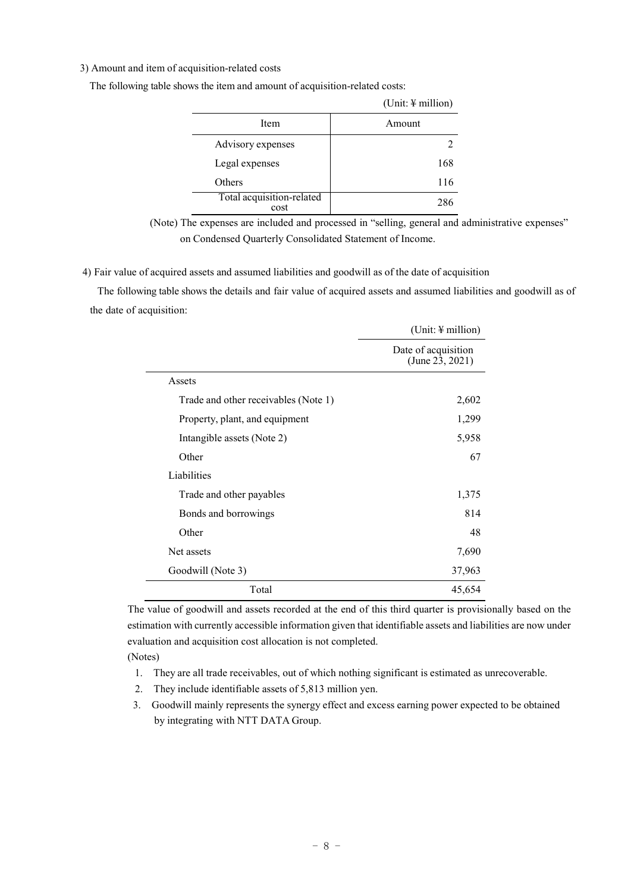### 3) Amount and item of acquisition-related costs

|                                   | $(Unit: \n  \n  million)$ |
|-----------------------------------|---------------------------|
| Item                              | Amount                    |
| Advisory expenses                 |                           |
| Legal expenses                    | 168                       |
| Others                            | 116                       |
| Total acquisition-related<br>cost | 286                       |

The following table shows the item and amount of acquisition-related costs:

(Note) The expenses are included and processed in "selling, general and administrative expenses" on Condensed Quarterly Consolidated Statement of Income.

4) Fair value of acquired assets and assumed liabilities and goodwill as of the date of acquisition

The following table shows the details and fair value of acquired assets and assumed liabilities and goodwill as of the date of acquisition:

|                                      | (Unit: $\frac{1}{2}$ million)          |
|--------------------------------------|----------------------------------------|
|                                      | Date of acquisition<br>(June 23, 2021) |
| Assets                               |                                        |
| Trade and other receivables (Note 1) | 2,602                                  |
| Property, plant, and equipment       | 1,299                                  |
| Intangible assets (Note 2)           | 5,958                                  |
| Other                                | 67                                     |
| Liabilities                          |                                        |
| Trade and other payables             | 1,375                                  |
| Bonds and borrowings                 | 814                                    |
| Other                                | 48                                     |
| Net assets                           | 7,690                                  |
| Goodwill (Note 3)                    | 37,963                                 |
| Total                                | 45,654                                 |

The value of goodwill and assets recorded at the end of this third quarter is provisionally based on the estimation with currently accessible information given that identifiable assets and liabilities are now under evaluation and acquisition cost allocation is not completed.

(Notes)

 $\overline{a}$ 

- 1. They are all trade receivables, out of which nothing significant is estimated as unrecoverable.
- 2. They include identifiable assets of 5,813 million yen.
- 3. Goodwill mainly represents the synergy effect and excess earning power expected to be obtained by integrating with NTT DATA Group.